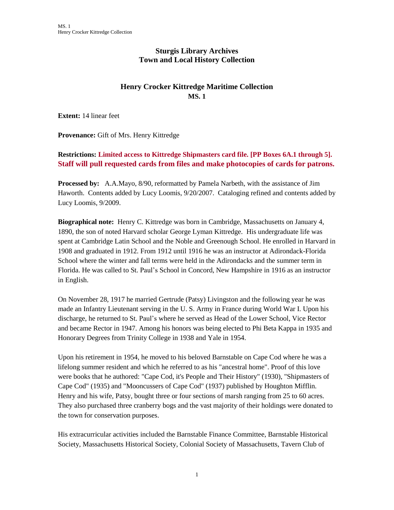# **Sturgis Library Archives Town and Local History Collection**

# **Henry Crocker Kittredge Maritime Collection MS. 1**

**Extent:** 14 linear feet

**Provenance:** Gift of Mrs. Henry Kittredge

# **Restrictions: Limited access to Kittredge Shipmasters card file. [PP Boxes 6A.1 through 5]. Staff will pull requested cards from files and make photocopies of cards for patrons.**

**Processed by:** A.A.Mayo, 8/90, reformatted by Pamela Narbeth, with the assistance of Jim Haworth. Contents added by Lucy Loomis, 9/20/2007. Cataloging refined and contents added by Lucy Loomis, 9/2009.

**Biographical note:** Henry C. Kittredge was born in Cambridge, Massachusetts on January 4, 1890, the son of noted Harvard scholar George Lyman Kittredge. His undergraduate life was spent at Cambridge Latin School and the Noble and Greenough School. He enrolled in Harvard in 1908 and graduated in 1912. From 1912 until 1916 he was an instructor at Adirondack-Florida School where the winter and fall terms were held in the Adirondacks and the summer term in Florida. He was called to St. Paul's School in Concord, New Hampshire in 1916 as an instructor in English.

On November 28, 1917 he married Gertrude (Patsy) Livingston and the following year he was made an Infantry Lieutenant serving in the U. S. Army in France during World War I. Upon his discharge, he returned to St. Paul's where he served as Head of the Lower School, Vice Rector and became Rector in 1947. Among his honors was being elected to Phi Beta Kappa in 1935 and Honorary Degrees from Trinity College in 1938 and Yale in 1954.

Upon his retirement in 1954, he moved to his beloved Barnstable on Cape Cod where he was a lifelong summer resident and which he referred to as his "ancestral home". Proof of this love were books that he authored: "Cape Cod, it's People and Their History" (1930), "Shipmasters of Cape Cod" (1935) and "Mooncussers of Cape Cod" (1937) published by Houghton Mifflin. Henry and his wife, Patsy, bought three or four sections of marsh ranging from 25 to 60 acres. They also purchased three cranberry bogs and the vast majority of their holdings were donated to the town for conservation purposes.

His extracurricular activities included the Barnstable Finance Committee, Barnstable Historical Society, Massachusetts Historical Society, Colonial Society of Massachusetts, Tavern Club of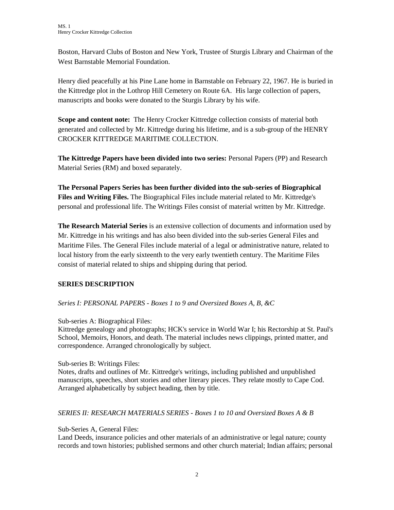Boston, Harvard Clubs of Boston and New York, Trustee of Sturgis Library and Chairman of the West Barnstable Memorial Foundation.

Henry died peacefully at his Pine Lane home in Barnstable on February 22, 1967. He is buried in the Kittredge plot in the Lothrop Hill Cemetery on Route 6A. His large collection of papers, manuscripts and books were donated to the Sturgis Library by his wife.

**Scope and content note:** The Henry Crocker Kittredge collection consists of material both generated and collected by Mr. Kittredge during his lifetime, and is a sub-group of the HENRY CROCKER KITTREDGE MARITIME COLLECTION.

**The Kittredge Papers have been divided into two series:** Personal Papers (PP) and Research Material Series (RM) and boxed separately.

**The Personal Papers Series has been further divided into the sub-series of Biographical Files and Writing Files.** The Biographical Files include material related to Mr. Kittredge's personal and professional life. The Writings Files consist of material written by Mr. Kittredge.

**The Research Material Series** is an extensive collection of documents and information used by Mr. Kittredge in his writings and has also been divided into the sub-series General Files and Maritime Files. The General Files include material of a legal or administrative nature, related to local history from the early sixteenth to the very early twentieth century. The Maritime Files consist of material related to ships and shipping during that period.

# **SERIES DESCRIPTION**

## *Series I: PERSONAL PAPERS - Boxes 1 to 9 and Oversized Boxes A, B, &C*

Sub-series A: Biographical Files:

Kittredge genealogy and photographs; HCK's service in World War I; his Rectorship at St. Paul's School, Memoirs, Honors, and death. The material includes news clippings, printed matter, and correspondence. Arranged chronologically by subject.

Sub-series B: Writings Files:

Notes, drafts and outlines of Mr. Kittredge's writings, including published and unpublished manuscripts, speeches, short stories and other literary pieces. They relate mostly to Cape Cod. Arranged alphabetically by subject heading, then by title.

*SERIES II: RESEARCH MATERIALS SERIES - Boxes 1 to 10 and Oversized Boxes A & B*

Sub-Series A, General Files:

Land Deeds, insurance policies and other materials of an administrative or legal nature; county records and town histories; published sermons and other church material; Indian affairs; personal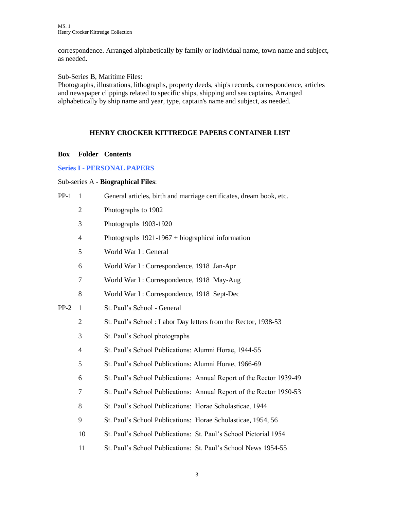correspondence. Arranged alphabetically by family or individual name, town name and subject, as needed.

Sub-Series B, Maritime Files:

Photographs, illustrations, lithographs, property deeds, ship's records, correspondence, articles and newspaper clippings related to specific ships, shipping and sea captains. Arranged alphabetically by ship name and year, type, captain's name and subject, as needed.

## **HENRY CROCKER KITTREDGE PAPERS CONTAINER LIST**

## **Box Folder Contents**

## **Series I - PERSONAL PAPERS**

## Sub-series A - **Biographical Files**:

| $PP-1$ | $\mathbf{1}$             | General articles, birth and marriage certificates, dream book, etc. |
|--------|--------------------------|---------------------------------------------------------------------|
|        | $\overline{2}$           | Photographs to 1902                                                 |
|        | 3                        | Photographs 1903-1920                                               |
|        | $\overline{4}$           | Photographs $1921-1967 + biographical information$                  |
|        | 5                        | World War I: General                                                |
|        | 6                        | World War I: Correspondence, 1918 Jan-Apr                           |
|        | $\tau$                   | World War I: Correspondence, 1918 May-Aug                           |
|        | 8                        | World War I: Correspondence, 1918 Sept-Dec                          |
| $PP-2$ | $\mathbf{1}$             | St. Paul's School - General                                         |
|        | $\overline{c}$           | St. Paul's School: Labor Day letters from the Rector, 1938-53       |
|        | 3                        | St. Paul's School photographs                                       |
|        | $\overline{\mathcal{A}}$ | St. Paul's School Publications: Alumni Horae, 1944-55               |
|        | 5                        | St. Paul's School Publications: Alumni Horae, 1966-69               |
|        | 6                        | St. Paul's School Publications: Annual Report of the Rector 1939-49 |
|        | $\tau$                   | St. Paul's School Publications: Annual Report of the Rector 1950-53 |
|        | 8                        | St. Paul's School Publications: Horae Scholasticae, 1944            |
|        | 9                        | St. Paul's School Publications: Horae Scholasticae, 1954, 56        |
|        | 10                       | St. Paul's School Publications: St. Paul's School Pictorial 1954    |
|        | 11                       | St. Paul's School Publications: St. Paul's School News 1954-55      |
|        |                          |                                                                     |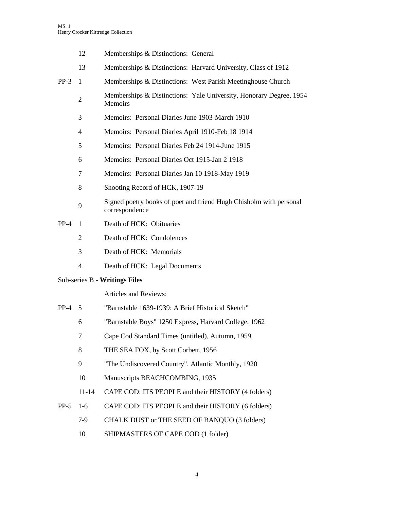- 12 Memberships & Distinctions: General
- 13 Memberships & Distinctions: Harvard University, Class of 1912
- PP-3 1 Memberships & Distinctions: West Parish Meetinghouse Church
	- 2 Memberships & Distinctions: Yale University, Honorary Degree, 1954 Memoirs
	- 3 Memoirs: Personal Diaries June 1903-March 1910
	- 4 Memoirs: Personal Diaries April 1910-Feb 18 1914
	- 5 Memoirs: Personal Diaries Feb 24 1914-June 1915
	- 6 Memoirs: Personal Diaries Oct 1915-Jan 2 1918
	- 7 Memoirs: Personal Diaries Jan 10 1918-May 1919
	- 8 Shooting Record of HCK, 1907-19
	- 9 Signed poetry books of poet and friend Hugh Chisholm with personal correspondence
- PP-4 1 Death of HCK: Obituaries
	- 2 Death of HCK: Condolences
	- 3 Death of HCK: Memorials
	- 4 Death of HCK: Legal Documents

#### Sub-series B - **Writings Files**

Articles and Reviews:

- PP-4 5 "Barnstable 1639-1939: A Brief Historical Sketch"
	- 6 "Barnstable Boys" 1250 Express, Harvard College, 1962
	- 7 Cape Cod Standard Times (untitled), Autumn, 1959
	- 8 THE SEA FOX, by Scott Corbett, 1956
	- 9 "The Undiscovered Country", Atlantic Monthly, 1920
	- 10 Manuscripts BEACHCOMBING, 1935
	- 11-14 CAPE COD: ITS PEOPLE and their HISTORY (4 folders)
- PP-5 1-6 CAPE COD: ITS PEOPLE and their HISTORY (6 folders)
	- 7-9 CHALK DUST or THE SEED OF BANQUO (3 folders)
		- 10 SHIPMASTERS OF CAPE COD (1 folder)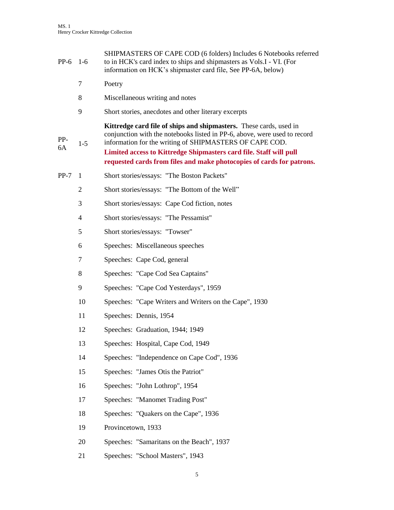| $PP-6$    | $1-6$          | SHIPMASTERS OF CAPE COD (6 folders) Includes 6 Notebooks referred<br>to in HCK's card index to ships and shipmasters as Vols.I - VI. (For<br>information on HCK's shipmaster card file, See PP-6A, below)                                                                                                                                                 |
|-----------|----------------|-----------------------------------------------------------------------------------------------------------------------------------------------------------------------------------------------------------------------------------------------------------------------------------------------------------------------------------------------------------|
|           | 7              | Poetry                                                                                                                                                                                                                                                                                                                                                    |
|           | 8              | Miscellaneous writing and notes                                                                                                                                                                                                                                                                                                                           |
|           | 9              | Short stories, anecdotes and other literary excerpts                                                                                                                                                                                                                                                                                                      |
| PP-<br>6A | $1-5$          | Kittredge card file of ships and shipmasters. These cards, used in<br>conjunction with the notebooks listed in PP-6, above, were used to record<br>information for the writing of SHIPMASTERS OF CAPE COD.<br>Limited access to Kittredge Shipmasters card file. Staff will pull<br>requested cards from files and make photocopies of cards for patrons. |
| $PP-7$    | -1             | Short stories/essays: "The Boston Packets"                                                                                                                                                                                                                                                                                                                |
|           | $\overline{2}$ | Short stories/essays: "The Bottom of the Well"                                                                                                                                                                                                                                                                                                            |
|           | 3              | Short stories/essays: Cape Cod fiction, notes                                                                                                                                                                                                                                                                                                             |
|           | $\overline{4}$ | Short stories/essays: "The Pessamist"                                                                                                                                                                                                                                                                                                                     |
|           | 5              | Short stories/essays: "Towser"                                                                                                                                                                                                                                                                                                                            |
|           | 6              | Speeches: Miscellaneous speeches                                                                                                                                                                                                                                                                                                                          |
|           | 7              | Speeches: Cape Cod, general                                                                                                                                                                                                                                                                                                                               |
|           | 8              | Speeches: "Cape Cod Sea Captains"                                                                                                                                                                                                                                                                                                                         |
|           | 9              | Speeches: "Cape Cod Yesterdays", 1959                                                                                                                                                                                                                                                                                                                     |
|           | 10             | Speeches: "Cape Writers and Writers on the Cape", 1930                                                                                                                                                                                                                                                                                                    |
|           | 11             | Speeches: Dennis, 1954                                                                                                                                                                                                                                                                                                                                    |
|           | 12             | Speeches: Graduation, 1944; 1949                                                                                                                                                                                                                                                                                                                          |
|           | 13             | Speeches: Hospital, Cape Cod, 1949                                                                                                                                                                                                                                                                                                                        |
|           | 14             | Speeches: "Independence on Cape Cod", 1936                                                                                                                                                                                                                                                                                                                |
|           | 15             | Speeches: "James Otis the Patriot"                                                                                                                                                                                                                                                                                                                        |
|           | 16             | Speeches: "John Lothrop", 1954                                                                                                                                                                                                                                                                                                                            |
|           | 17             | Speeches: "Manomet Trading Post"                                                                                                                                                                                                                                                                                                                          |
|           | 18             | Speeches: "Quakers on the Cape", 1936                                                                                                                                                                                                                                                                                                                     |
|           | 19             | Provincetown, 1933                                                                                                                                                                                                                                                                                                                                        |
|           | 20             | Speeches: "Samaritans on the Beach", 1937                                                                                                                                                                                                                                                                                                                 |
|           | 21             | Speeches: "School Masters", 1943                                                                                                                                                                                                                                                                                                                          |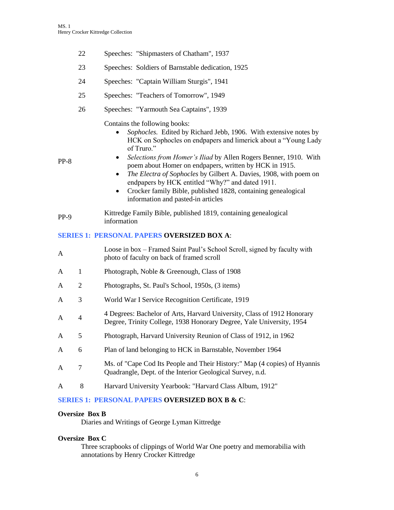- 22 Speeches: "Shipmasters of Chatham", 1937
- 23 Speeches: Soldiers of Barnstable dedication, 1925
- 24 Speeches: "Captain William Sturgis", 1941
- 25 Speeches: "Teachers of Tomorrow", 1949
- 26 Speeches: "Yarmouth Sea Captains", 1939

Contains the following books:

- *Sophocles.* Edited by Richard Jebb, 1906. With extensive notes by HCK on Sophocles on endpapers and limerick about a "Young Lady of Truro."
- *Selections from Homer's Iliad* by Allen Rogers Benner, 1910. With poem about Homer on endpapers, written by HCK in 1915.
- *The Electra of Sophocles* by Gilbert A. Davies, 1908, with poem on endpapers by HCK entitled "Why?" and dated 1911.
- Crocker family Bible, published 1828, containing genealogical information and pasted-in articles
- PP-9 Kittredge Family Bible, published 1819, containing genealogical information

### **SERIES 1: PERSONAL PAPERS OVERSIZED BOX A**:

| A |                | Loose in box – Framed Saint Paul's School Scroll, signed by faculty with<br>photo of faculty on back of framed scroll                           |
|---|----------------|-------------------------------------------------------------------------------------------------------------------------------------------------|
| A | 1              | Photograph, Noble & Greenough, Class of 1908                                                                                                    |
| A | 2              | Photographs, St. Paul's School, 1950s, (3 items)                                                                                                |
| A | 3              | World War I Service Recognition Certificate, 1919                                                                                               |
| A | $\overline{4}$ | 4 Degrees: Bachelor of Arts, Harvard University, Class of 1912 Honorary<br>Degree, Trinity College, 1938 Honorary Degree, Yale University, 1954 |
| A | 5              | Photograph, Harvard University Reunion of Class of 1912, in 1962                                                                                |
| A | 6              | Plan of land belonging to HCK in Barnstable, November 1964                                                                                      |
| A | 7              | Ms. of "Cape Cod Its People and Their History:" Map (4 copies) of Hyannis<br>Quadrangle, Dept. of the Interior Geological Survey, n.d.          |
| A | 8              | Harvard University Yearbook: "Harvard Class Album, 1912"                                                                                        |

## **SERIES 1: PERSONAL PAPERS OVERSIZED BOX B & C**:

## **Oversize Box B**

Diaries and Writings of George Lyman Kittredge

### **Oversize Box C**

Three scrapbooks of clippings of World War One poetry and memorabilia with annotations by Henry Crocker Kittredge

PP-8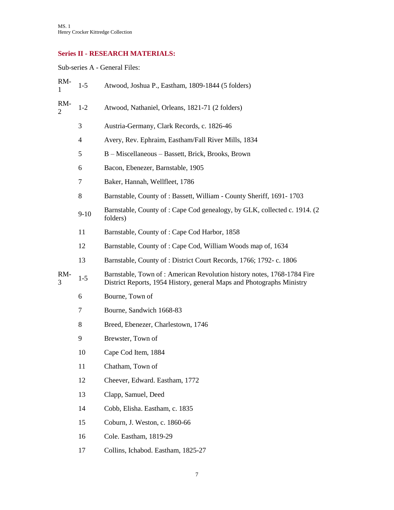# **Series II - RESEARCH MATERIALS:**

Sub-series A - General Files:

| RM-<br>1              | $1-5$                    | Atwood, Joshua P., Eastham, 1809-1844 (5 folders)                                                                                               |
|-----------------------|--------------------------|-------------------------------------------------------------------------------------------------------------------------------------------------|
| RM-<br>$\overline{2}$ | $1-2$                    | Atwood, Nathaniel, Orleans, 1821-71 (2 folders)                                                                                                 |
|                       | 3                        | Austria-Germany, Clark Records, c. 1826-46                                                                                                      |
|                       | $\overline{\mathcal{A}}$ | Avery, Rev. Ephraim, Eastham/Fall River Mills, 1834                                                                                             |
|                       | 5                        | B – Miscellaneous – Bassett, Brick, Brooks, Brown                                                                                               |
|                       | 6                        | Bacon, Ebenezer, Barnstable, 1905                                                                                                               |
|                       | 7                        | Baker, Hannah, Wellfleet, 1786                                                                                                                  |
|                       | 8                        | Barnstable, County of: Bassett, William - County Sheriff, 1691-1703                                                                             |
|                       | $9-10$                   | Barnstable, County of: Cape Cod genealogy, by GLK, collected c. 1914. (2)<br>folders)                                                           |
|                       | 11                       | Barnstable, County of: Cape Cod Harbor, 1858                                                                                                    |
|                       | 12                       | Barnstable, County of: Cape Cod, William Woods map of, 1634                                                                                     |
|                       | 13                       | Barnstable, County of: District Court Records, 1766; 1792-c. 1806                                                                               |
| RM-<br>3              | $1-5$                    | Barnstable, Town of: American Revolution history notes, 1768-1784 Fire<br>District Reports, 1954 History, general Maps and Photographs Ministry |
|                       | 6                        | Bourne, Town of                                                                                                                                 |
|                       | 7                        | Bourne, Sandwich 1668-83                                                                                                                        |
|                       | 8                        | Breed, Ebenezer, Charlestown, 1746                                                                                                              |
|                       | 9                        | Brewster, Town of                                                                                                                               |
|                       | 10                       | Cape Cod Item, 1884                                                                                                                             |
|                       | 11                       | Chatham, Town of                                                                                                                                |
|                       | 12                       | Cheever, Edward. Eastham, 1772                                                                                                                  |
|                       | 13                       | Clapp, Samuel, Deed                                                                                                                             |
|                       | 14                       | Cobb, Elisha. Eastham, c. 1835                                                                                                                  |
|                       | 15                       | Coburn, J. Weston, c. 1860-66                                                                                                                   |
|                       | 16                       | Cole. Eastham, 1819-29                                                                                                                          |
|                       | 17                       | Collins, Ichabod. Eastham, 1825-27                                                                                                              |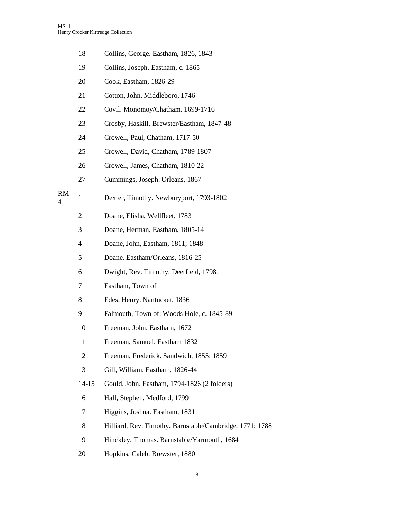|          | 18             | Collins, George. Eastham, 1826, 1843                     |
|----------|----------------|----------------------------------------------------------|
|          | 19             | Collins, Joseph. Eastham, c. 1865                        |
|          | 20             | Cook, Eastham, 1826-29                                   |
|          | 21             | Cotton, John. Middleboro, 1746                           |
|          | 22             | Covil. Monomoy/Chatham, 1699-1716                        |
|          | 23             | Crosby, Haskill. Brewster/Eastham, 1847-48               |
|          | 24             | Crowell, Paul, Chatham, 1717-50                          |
|          | 25             | Crowell, David, Chatham, 1789-1807                       |
|          | 26             | Crowell, James, Chatham, 1810-22                         |
|          | 27             | Cummings, Joseph. Orleans, 1867                          |
| RM-<br>4 | $\mathbf{1}$   | Dexter, Timothy. Newburyport, 1793-1802                  |
|          | $\overline{c}$ | Doane, Elisha, Wellfleet, 1783                           |
|          | 3              | Doane, Herman, Eastham, 1805-14                          |
|          | 4              | Doane, John, Eastham, 1811; 1848                         |
|          | 5              | Doane. Eastham/Orleans, 1816-25                          |
|          | 6              | Dwight, Rev. Timothy. Deerfield, 1798.                   |
|          | 7              | Eastham, Town of                                         |
|          | 8              | Edes, Henry. Nantucket, 1836                             |
|          | 9              | Falmouth, Town of: Woods Hole, c. 1845-89                |
|          | 10             | Freeman, John. Eastham, 1672                             |
|          | 11             | Freeman, Samuel. Eastham 1832                            |
|          | 12             | Freeman, Frederick. Sandwich, 1855: 1859                 |
|          | 13             | Gill, William. Eastham, 1826-44                          |
|          | $14 - 15$      | Gould, John. Eastham, 1794-1826 (2 folders)              |
|          | 16             | Hall, Stephen. Medford, 1799                             |
|          | 17             | Higgins, Joshua. Eastham, 1831                           |
|          | 18             | Hilliard, Rev. Timothy. Barnstable/Cambridge, 1771: 1788 |
|          | 19             | Hinckley, Thomas. Barnstable/Yarmouth, 1684              |
|          | 20             | Hopkins, Caleb. Brewster, 1880                           |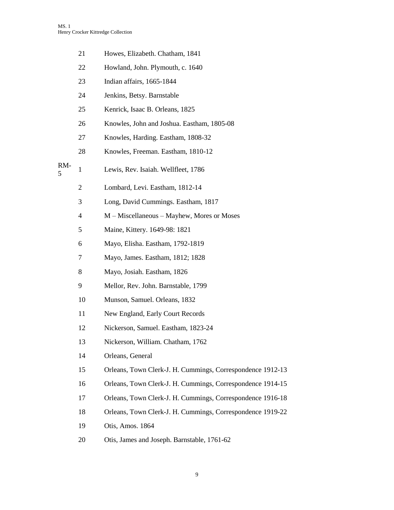|          | 21             | Howes, Elizabeth. Chatham, 1841                            |
|----------|----------------|------------------------------------------------------------|
|          | 22             | Howland, John. Plymouth, c. 1640                           |
|          | 23             | Indian affairs, 1665-1844                                  |
|          | 24             | Jenkins, Betsy. Barnstable                                 |
|          | 25             | Kenrick, Isaac B. Orleans, 1825                            |
|          | 26             | Knowles, John and Joshua. Eastham, 1805-08                 |
|          | 27             | Knowles, Harding. Eastham, 1808-32                         |
|          | 28             | Knowles, Freeman. Eastham, 1810-12                         |
| RM-<br>5 | 1              | Lewis, Rev. Isaiah. Wellfleet, 1786                        |
|          | $\overline{2}$ | Lombard, Levi. Eastham, 1812-14                            |
|          | 3              | Long, David Cummings. Eastham, 1817                        |
|          | 4              | M – Miscellaneous – Mayhew, Mores or Moses                 |
|          | 5              | Maine, Kittery. 1649-98: 1821                              |
|          | 6              | Mayo, Elisha. Eastham, 1792-1819                           |
|          | 7              | Mayo, James. Eastham, 1812; 1828                           |
|          | 8              | Mayo, Josiah. Eastham, 1826                                |
|          | 9              | Mellor, Rev. John. Barnstable, 1799                        |
|          | 10             | Munson, Samuel. Orleans, 1832                              |
|          | 11             | New England, Early Court Records                           |
|          | 12             | Nickerson, Samuel. Eastham, 1823-24                        |
|          | 13             | Nickerson, William. Chatham, 1762                          |
|          | 14             | Orleans, General                                           |
|          | 15             | Orleans, Town Clerk-J. H. Cummings, Correspondence 1912-13 |
|          | 16             | Orleans, Town Clerk-J. H. Cummings, Correspondence 1914-15 |
|          | 17             | Orleans, Town Clerk-J. H. Cummings, Correspondence 1916-18 |
|          | 18             | Orleans, Town Clerk-J. H. Cummings, Correspondence 1919-22 |
|          | 19             | Otis, Amos. 1864                                           |
|          | 20             | Otis, James and Joseph. Barnstable, 1761-62                |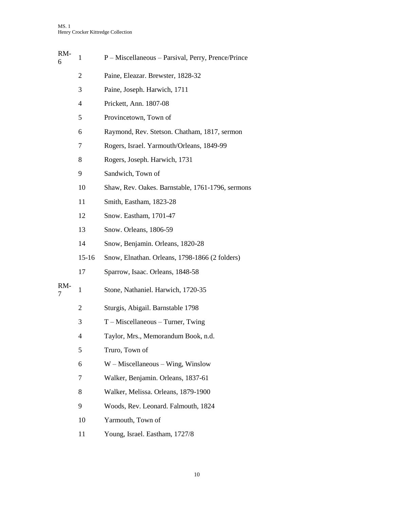| RM-<br>6 | $\mathbf{1}$ | P - Miscellaneous - Parsival, Perry, Prence/Prince |
|----------|--------------|----------------------------------------------------|
|          | 2            | Paine, Eleazar. Brewster, 1828-32                  |
|          | 3            | Paine, Joseph. Harwich, 1711                       |
|          | 4            | Prickett, Ann. 1807-08                             |
|          | 5            | Provincetown, Town of                              |
|          | 6            | Raymond, Rev. Stetson. Chatham, 1817, sermon       |
|          | 7            | Rogers, Israel. Yarmouth/Orleans, 1849-99          |
|          | 8            | Rogers, Joseph. Harwich, 1731                      |
|          | 9            | Sandwich, Town of                                  |
|          | 10           | Shaw, Rev. Oakes. Barnstable, 1761-1796, sermons   |
|          | 11           | Smith, Eastham, 1823-28                            |
|          | 12           | Snow. Eastham, 1701-47                             |
|          | 13           | Snow. Orleans, 1806-59                             |
|          | 14           | Snow, Benjamin. Orleans, 1820-28                   |
|          | 15-16        | Snow, Elnathan. Orleans, 1798-1866 (2 folders)     |
|          | 17           | Sparrow, Isaac. Orleans, 1848-58                   |
| RM-<br>7 | 1            | Stone, Nathaniel. Harwich, 1720-35                 |
|          | 2            | Sturgis, Abigail. Barnstable 1798                  |
|          | 3            | $T$ – Miscellaneous – Turner, Twing                |
|          | 4            | Taylor, Mrs., Memorandum Book, n.d.                |
|          | 5            | Truro, Town of                                     |
|          | 6            | $W$ – Miscellaneous – Wing, Winslow                |
|          | 7            | Walker, Benjamin. Orleans, 1837-61                 |
|          | 8            | Walker, Melissa. Orleans, 1879-1900                |
|          | 9            | Woods, Rev. Leonard. Falmouth, 1824                |
|          | 10           | Yarmouth, Town of                                  |
|          | 11           | Young, Israel. Eastham, 1727/8                     |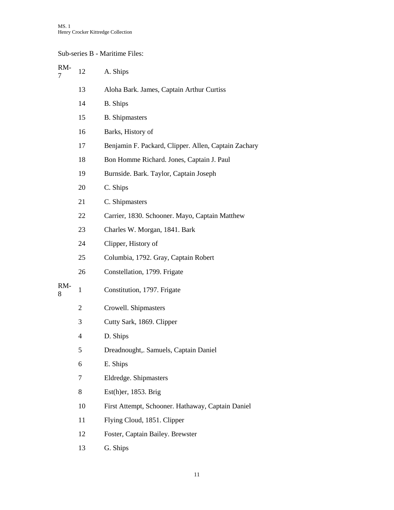## Sub-series B - Maritime Files:

| RM-<br>7 | 12             | A. Ships                                             |
|----------|----------------|------------------------------------------------------|
|          | 13             | Aloha Bark. James, Captain Arthur Curtiss            |
|          | 14             | <b>B.</b> Ships                                      |
|          | 15             | <b>B.</b> Shipmasters                                |
|          | 16             | Barks, History of                                    |
|          | 17             | Benjamin F. Packard, Clipper. Allen, Captain Zachary |
|          | 18             | Bon Homme Richard. Jones, Captain J. Paul            |
|          | 19             | Burnside. Bark. Taylor, Captain Joseph               |
|          | 20             | C. Ships                                             |
|          | 21             | C. Shipmasters                                       |
|          | 22             | Carrier, 1830. Schooner. Mayo, Captain Matthew       |
|          | 23             | Charles W. Morgan, 1841. Bark                        |
|          | 24             | Clipper, History of                                  |
|          | 25             | Columbia, 1792. Gray, Captain Robert                 |
|          | 26             | Constellation, 1799. Frigate                         |
| RM-<br>8 | 1              | Constitution, 1797. Frigate                          |
|          | $\overline{2}$ | Crowell. Shipmasters                                 |
|          | 3              | Cutty Sark, 1869. Clipper                            |
|          | 4              | D. Ships                                             |
|          | 5              | Dreadnought,. Samuels, Captain Daniel                |
|          | 6              | E. Ships                                             |
|          | 7              | Eldredge. Shipmasters                                |
|          | 8              | Est(h)er, 1853. Brig                                 |
|          | 10             | First Attempt, Schooner. Hathaway, Captain Daniel    |
|          | 11             | Flying Cloud, 1851. Clipper                          |
|          | 12             | Foster, Captain Bailey. Brewster                     |
|          | 13             | G. Ships                                             |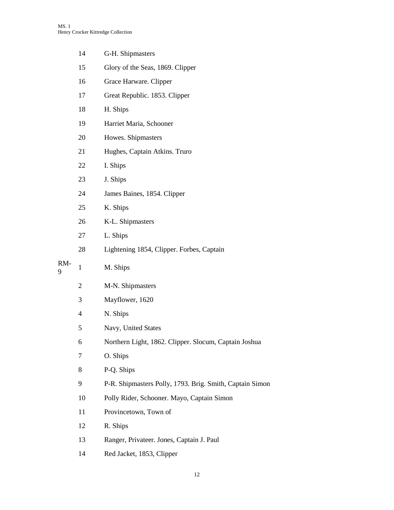|     | 14             | G-H. Shipmasters                                         |
|-----|----------------|----------------------------------------------------------|
|     | 15             | Glory of the Seas, 1869. Clipper                         |
|     | 16             | Grace Harware. Clipper                                   |
|     | 17             | Great Republic. 1853. Clipper                            |
|     | 18             | H. Ships                                                 |
|     | 19             | Harriet Maria, Schooner                                  |
|     | 20             | Howes. Shipmasters                                       |
|     | 21             | Hughes, Captain Atkins. Truro                            |
|     | 22             | I. Ships                                                 |
|     | 23             | J. Ships                                                 |
|     | 24             | James Baines, 1854. Clipper                              |
|     | 25             | K. Ships                                                 |
|     | 26             | K-L. Shipmasters                                         |
|     | 27             | L. Ships                                                 |
|     | 28             | Lightening 1854, Clipper. Forbes, Captain                |
| RM- | $\mathbf{1}$   | M. Ships                                                 |
| 9   |                |                                                          |
|     | $\overline{c}$ | M-N. Shipmasters                                         |
|     | 3              | Mayflower, 1620                                          |
|     | $\overline{4}$ | N. Ships                                                 |
|     | 5              | Navy, United States                                      |
|     | 6              | Northern Light, 1862. Clipper. Slocum, Captain Joshua    |
|     | 7              | O. Ships                                                 |
|     | 8              | P-Q. Ships                                               |
|     | 9              | P-R. Shipmasters Polly, 1793. Brig. Smith, Captain Simon |
|     | 10             | Polly Rider, Schooner. Mayo, Captain Simon               |
|     | 11             | Provincetown, Town of                                    |
|     | 12             | R. Ships                                                 |
|     | 13             | Ranger, Privateer. Jones, Captain J. Paul                |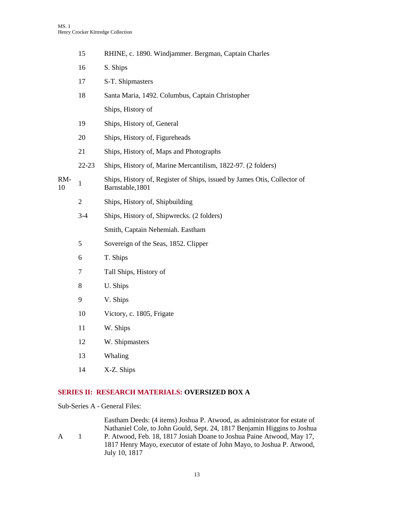|           | 15           | RHINE, c. 1890. Windjammer. Bergman, Captain Charles                                         |
|-----------|--------------|----------------------------------------------------------------------------------------------|
|           | 16           | S. Ships                                                                                     |
|           | 17           | S-T. Shipmasters                                                                             |
|           | 18           | Santa Maria, 1492. Columbus, Captain Christopher                                             |
|           |              | Ships, History of                                                                            |
|           | 19           | Ships, History of, General                                                                   |
|           | 20           | Ships, History of, Figureheads                                                               |
|           | 21           | Ships, History of, Maps and Photographs                                                      |
|           | $22 - 23$    | Ships, History of, Marine Mercantilism, 1822-97. (2 folders)                                 |
| RM-<br>10 | 1            | Ships, History of, Register of Ships, issued by James Otis, Collector of<br>Barnstable, 1801 |
|           | $\mathbf{2}$ | Ships, History of, Shipbuilding                                                              |
|           | $3 - 4$      | Ships, History of, Shipwrecks. (2 folders)                                                   |
|           |              | Smith, Captain Nehemiah. Eastham                                                             |
|           | 5            | Sovereign of the Seas, 1852. Clipper                                                         |
|           | 6            | T. Ships                                                                                     |
|           | 7            | Tall Ships, History of                                                                       |
|           | 8            | U. Ships                                                                                     |
|           | 9            | V. Ships                                                                                     |
|           | 10           | Victory, c. 1805, Frigate                                                                    |
|           | 11           | W. Ships                                                                                     |
|           | 12           | W. Shipmasters                                                                               |
|           | 13           | Whaling                                                                                      |

14 X-Z. Ships

## **SERIES II: RESEARCH MATERIALS: OVERSIZED BOX A**

Sub-Series A - General Files:

A 1 Eastham Deeds: (4 items) Joshua P. Atwood, as administrator for estate of Nathaniel Cole, to John Gould, Sept. 24, 1817 Benjamin Higgins to Joshua P. Atwood, Feb. 18, 1817 Josiah Doane to Joshua Paine Atwood, May 17, 1817 Henry Mayo, executor of estate of John Mayo, to Joshua P. Atwood, July 10, 1817